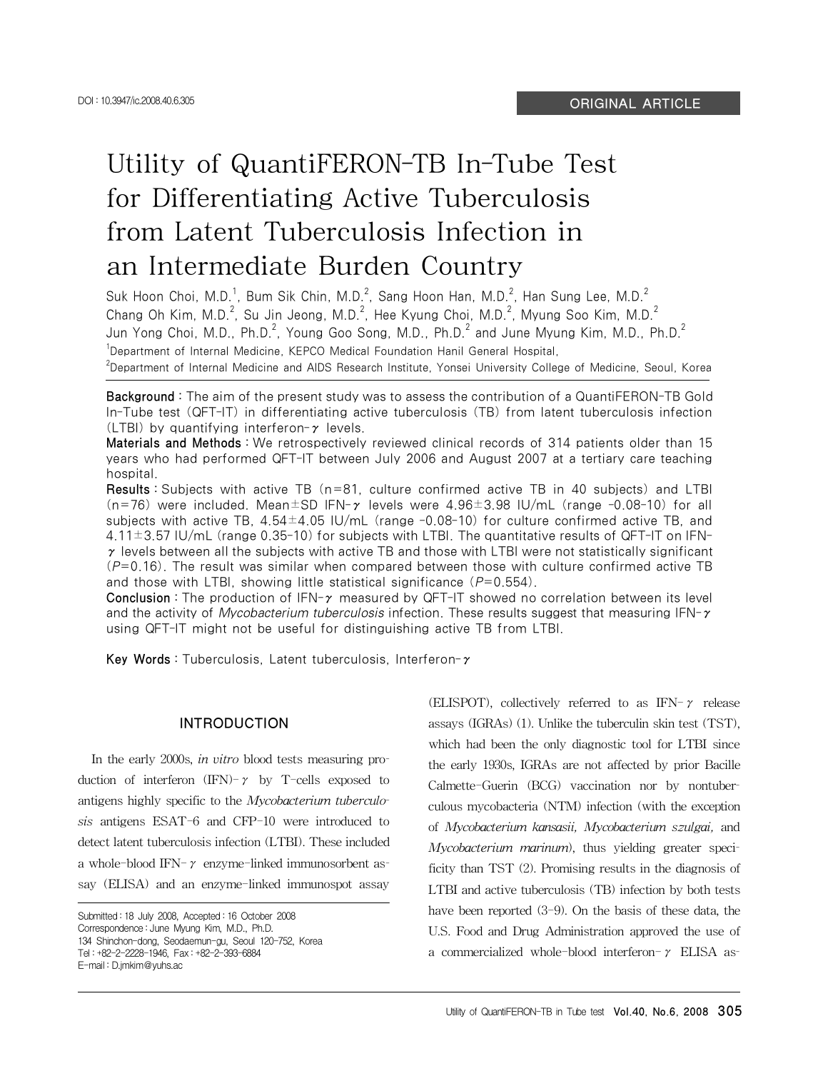# Utility of QuantiFERON-TB In-Tube Test for Differentiating Active Tuberculosis from Latent Tuberculosis Infection in an Intermediate Burden Country

Suk Hoon Choi, M.D.<sup>1</sup>, Bum Sik Chin, M.D.<sup>2</sup>, Sang Hoon Han, M.D.<sup>2</sup>, Han Sung Lee, M.D.<sup>2</sup> Chang Oh Kim, M.D.<sup>2</sup>, Su Jin Jeong, M.D.<sup>2</sup>, Hee Kyung Choi, M.D.<sup>2</sup>, Myung Soo Kim, M.D.<sup>2</sup> Jun Yong Choi, M.D., Ph.D. $^2$ , Young Goo Song, M.D., Ph.D. $^2$  and June Myung Kim, M.D., Ph.D. $^2$ <sup>1</sup>Department of Internal Medicine, KEPCO Medical Foundation Hanil General Hospital, 2 Department of Internal Medicine and AIDS Research Institute, Yonsei University College of Medicine, Seoul, Korea

Background : The aim of the present study was to assess the contribution of a QuantiFERON-TB Gold In-Tube test (QFT-IT) in differentiating active tuberculosis (TB) from latent tuberculosis infection (LTBI) by quantifying interferon- $\gamma$  levels.

Materials and Methods : We retrospectively reviewed clinical records of 314 patients older than 15 years who had performed QFT-IT between July 2006 and August 2007 at a tertiary care teaching hospital.

Results : Subjects with active TB (n=81, culture confirmed active TB in 40 subjects) and LTBI (n=76) were included. Mean $\pm$ SD IFN- $\gamma$  levels were 4.96 $\pm$ 3.98 IU/mL (range -0.08-10) for all subjects with active TB,  $4.54\pm4.05$  IU/mL (range -0.08-10) for culture confirmed active TB, and  $4.11\pm3.57$  IU/mL (range 0.35-10) for subjects with LTBI. The quantitative results of QFT-IT on IFN- $\gamma$  levels between all the subjects with active TB and those with LTBI were not statistically significant  $(P=0.16)$ . The result was similar when compared between those with culture confirmed active TB and those with LTBI, showing little statistical significance  $(P=0.554)$ .

Conclusion : The production of IFN-γ measured by QFT-IT showed no correlation between its level and the activity of *Mycobacterium tuberculosis* infection. These results suggest that measuring IFN- $\gamma$ using QFT-IT might not be useful for distinguishing active TB from LTBI.

Key Words : Tuberculosis, Latent tuberculosis, Interferon-γ

#### INTRODUCTION

In the early 2000s, *in vitro* blood tests measuring production of interferon  $(IFN)$ - $\gamma$  by T-cells exposed to antigens highly specific to the *Mycobacterium tuberculosis* antigens ESAT-6 and CFP-10 were introduced to detect latent tuberculosis infection (LTBI). These included a whole-blood IFN- $\gamma$  enzyme-linked immunosorbent assay (ELISA) and an enzyme-linked immunospot assay

(ELISPOT), collectively referred to as IFN- $\gamma$  release assays (IGRAs) (1). Unlike the tuberculin skin test (TST), which had been the only diagnostic tool for LTBI since the early 1930s, IGRAs are not affected by prior Bacille Calmette-Guerin (BCG) vaccination nor by nontuberculous mycobacteria (NTM) infection (with the exception of *Mycobacterium kansasii, Mycobacterium szulgai,* and *Mycobacterium marinum*), thus yielding greater specificity than TST (2). Promising results in the diagnosis of LTBI and active tuberculosis (TB) infection by both tests have been reported  $(3-9)$ . On the basis of these data, the U.S. Food and Drug Administration approved the use of a commercialized whole-blood interferon- $\gamma$  ELISA as-

Submitted : 18 July 2008, Accepted : 16 October 2008 Correspondence : June Myung Kim, M.D., Ph.D. 134 Shinchon-dong, Seodaemun-gu, Seoul 120-752, Korea Tel : +82-2-2228-1946, Fax : +82-2-393-6884 E-mail : D.jmkim@yuhs.ac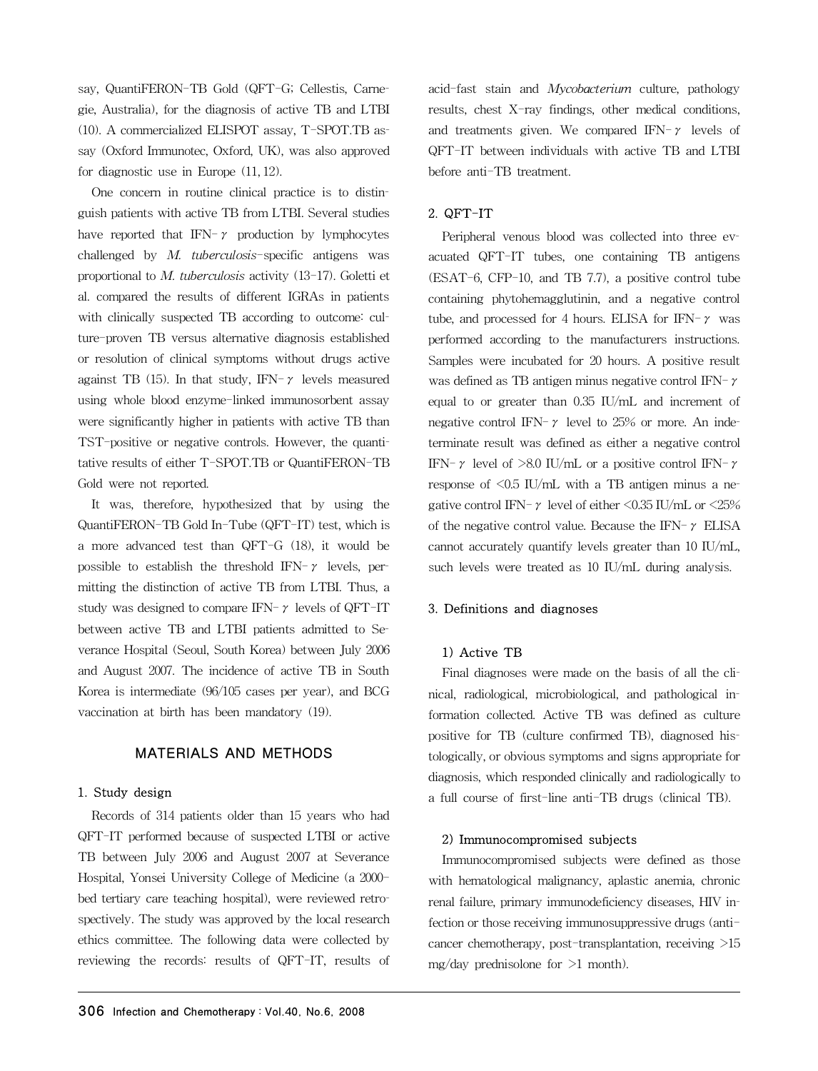say, QuantiFERON-TB Gold (QFT-G; Cellestis, Carnegie, Australia), for the diagnosis of active TB and LTBI (10). A commercialized ELISPOT assay, T-SPOT.TB assay (Oxford Immunotec, Oxford, UK), was also approved for diagnostic use in Europe (11, 12).

One concern in routine clinical practice is to distinguish patients with active TB from LTBI. Several studies have reported that IFN- $\gamma$  production by lymphocytes challenged by *M. tuberculosis*-specific antigens was proportional to *M. tuberculosis* activity (13-17). Goletti et al. compared the results of different IGRAs in patients with clinically suspected TB according to outcome: culture-proven TB versus alternative diagnosis established or resolution of clinical symptoms without drugs active against TB (15). In that study, IFN- $\gamma$  levels measured using whole blood enzyme-linked immunosorbent assay were significantly higher in patients with active TB than TST-positive or negative controls. However, the quantitative results of either T-SPOT.TB or QuantiFERON-TB Gold were not reported.

It was, therefore, hypothesized that by using the QuantiFERON-TB Gold In-Tube (QFT-IT) test, which is a more advanced test than QFT-G (18), it would be possible to establish the threshold IFN- $\gamma$  levels, permitting the distinction of active TB from LTBI. Thus, a study was designed to compare IFN- $\gamma$  levels of QFT-IT between active TB and LTBI patients admitted to Severance Hospital (Seoul, South Korea) between July 2006 and August 2007. The incidence of active TB in South Korea is intermediate (96/105 cases per year), and BCG vaccination at birth has been mandatory (19).

# MATERIALS AND METHODS

#### 1. Study design

Records of 314 patients older than 15 years who had QFT-IT performed because of suspected LTBI or active TB between July 2006 and August 2007 at Severance Hospital, Yonsei University College of Medicine (a 2000 bed tertiary care teaching hospital), were reviewed retrospectively. The study was approved by the local research ethics committee. The following data were collected by reviewing the records: results of QFT-IT, results of acid-fast stain and *Mycobacterium* culture, pathology results, chest X-ray findings, other medical conditions, and treatments given. We compared IFN- $\gamma$  levels of QFT-IT between individuals with active TB and LTBI before anti-TB treatment.

# 2. QFT-IT

Peripheral venous blood was collected into three evacuated QFT-IT tubes, one containing TB antigens (ESAT-6, CFP-10, and TB 7.7), a positive control tube containing phytohemagglutinin, and a negative control tube, and processed for 4 hours. ELISA for IFN- $\gamma$  was performed according to the manufacturers instructions. Samples were incubated for 20 hours. A positive result was defined as TB antigen minus negative control IFN-γ equal to or greater than 0.35 IU/mL and increment of negative control IFN- $\gamma$  level to 25% or more. An indeterminate result was defined as either a negative control IFN- $\gamma$  level of  $>8.0$  IU/mL or a positive control IFN- $\gamma$ response of  $\leq 0.5$  IU/mL with a TB antigen minus a negative control IFN- $\gamma$  level of either <0.35 IU/mL or <25% of the negative control value. Because the IFN- $\gamma$  ELISA cannot accurately quantify levels greater than 10 IU/mL, such levels were treated as 10 IU/mL during analysis.

# 3. Definitions and diagnoses

#### 1) Active TB

Final diagnoses were made on the basis of all the clinical, radiological, microbiological, and pathological information collected. Active TB was defined as culture positive for TB (culture confirmed TB), diagnosed histologically, or obvious symptoms and signs appropriate for diagnosis, which responded clinically and radiologically to a full course of first-line anti-TB drugs (clinical TB).

#### 2) Immunocompromised subjects

Immunocompromised subjects were defined as those with hematological malignancy, aplastic anemia, chronic renal failure, primary immunodeficiency diseases, HIV infection or those receiving immunosuppressive drugs (anticancer chemotherapy, post-transplantation, receiving >15 mg/day prednisolone for >1 month).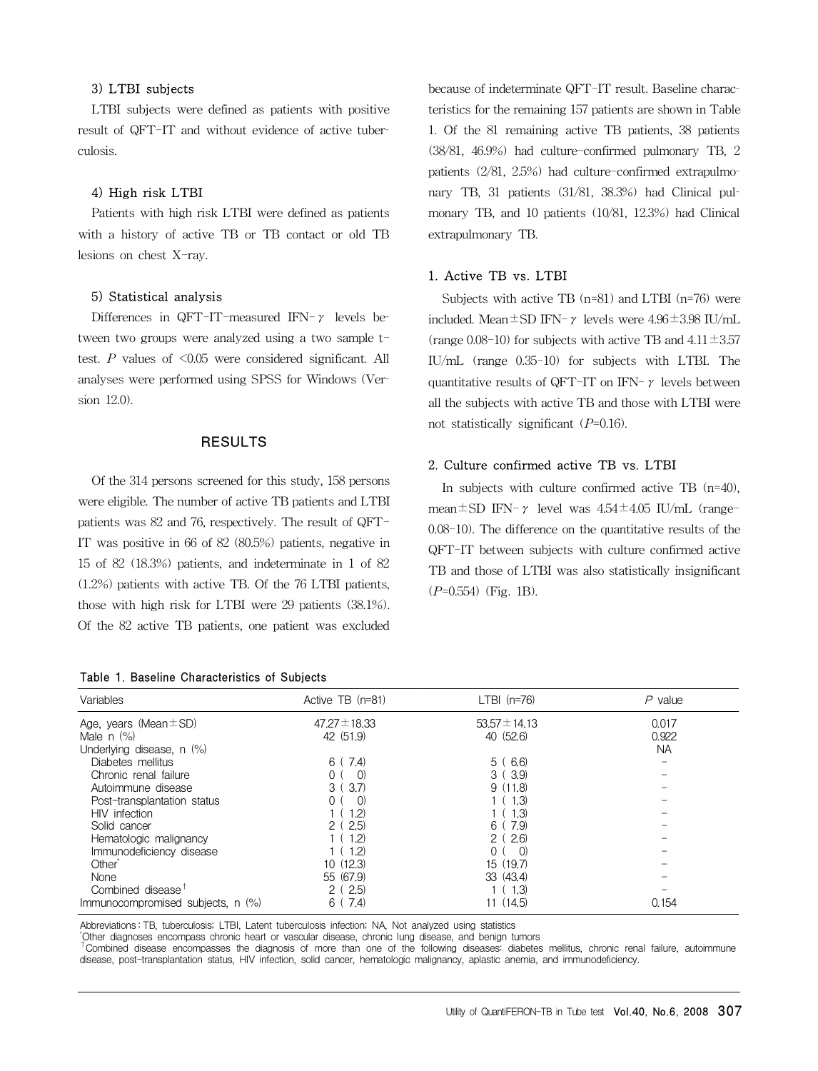# 3) LTBI subjects

LTBI subjects were defined as patients with positive result of QFT-IT and without evidence of active tuberculosis.

#### 4) High risk LTBI

Patients with high risk LTBI were defined as patients with a history of active TB or TB contact or old TB lesions on chest X-ray.

#### 5) Statistical analysis

Differences in QFT-IT-measured IFN- $\gamma$  levels between two groups were analyzed using a two sample ttest. *P* values of <0.05 were considered significant. All analyses were performed using SPSS for Windows (Version 12.0).

### RESULTS

Of the 314 persons screened for this study, 158 persons were eligible. The number of active TB patients and LTBI patients was 82 and 76, respectively. The result of QFT-IT was positive in 66 of 82 (80.5%) patients, negative in 15 of 82 (18.3%) patients, and indeterminate in 1 of 82 (1.2%) patients with active TB. Of the 76 LTBI patients, those with high risk for LTBI were 29 patients (38.1%). Of the 82 active TB patients, one patient was excluded

Table 1. Baseline Characteristics of Subjects

because of indeterminate QFT-IT result. Baseline characteristics for the remaining 157 patients are shown in Table 1. Of the 81 remaining active TB patients, 38 patients (38/81, 46.9%) had culture-confirmed pulmonary TB, 2 patients (2/81, 2.5%) had culture-confirmed extrapulmonary TB, 31 patients (31/81, 38.3%) had Clinical pulmonary TB, and 10 patients (10/81, 12.3%) had Clinical extrapulmonary TB.

# 1. Active TB vs. LTBI

Subjects with active TB (n=81) and LTBI (n=76) were included. Mean $\pm$ SD IFN- $\gamma$  levels were 4.96 $\pm$ 3.98 IU/mL (range 0.08-10) for subjects with active TB and  $4.11 \pm 3.57$ IU/mL (range 0.35-10) for subjects with LTBI. The quantitative results of QFT-IT on IFN- $\gamma$  levels between all the subjects with active TB and those with LTBI were not statistically significant (*P*=0.16).

## 2. Culture confirmed active TB vs. LTBI

In subjects with culture confirmed active TB (n=40), mean $\pm$ SD IFN- $\gamma$  level was  $4.54 \pm 4.05$  IU/mL (range-0.08-10). The difference on the quantitative results of the QFT-IT between subjects with culture confirmed active TB and those of LTBI was also statistically insignificant (*P*=0.554) (Fig. 1B).

| Variables                         | Active TB (n=81)  | $LTBI$ (n=76)         | $P$ value |
|-----------------------------------|-------------------|-----------------------|-----------|
| Age, years (Mean $\pm$ SD)        | $47.27 \pm 18.33$ | $53.57 \pm 14.13$     | 0.017     |
| Male $n$ $(\%)$                   | 42 (51.9)         | 40 (52.6)             | 0.922     |
| Underlying disease, n (%)         |                   |                       | <b>NA</b> |
| Diabetes mellitus                 | 7.4)<br>6 (       | 6.6)<br>5 (           |           |
| Chronic renal failure             | (1)               | 3(3.9)                |           |
| Autoimmune disease                | 3.7)<br>3(        | 9(11.8)               |           |
| Post-transplantation status       | $\Omega$          | (1.3)                 |           |
| HIV infection                     | 1.2)              | 1.3)                  |           |
| Solid cancer                      | (2.5)             | 7.9<br>6              |           |
| Hematologic malignancy            | 1.2)              | 2.6<br>2 <sub>1</sub> |           |
| Immunodeficiency disease          | 1.2)              | $\Omega$              |           |
| Other <sup>®</sup>                | 10(12.3)          | 15 (19.7)             |           |
| None                              | 55 (67.9)         | 33 (43.4)             |           |
| Combined disease <sup>T</sup>     | (2.5)<br>2(       | (1.3)                 |           |
| Immunocompromised subjects, n (%) | 7.4)<br>6         | (14.5)                | 0.154     |

Abbreviations : TB, tuberculosis; LTBI, Latent tuberculosis infection; NA, Not analyzed using statistics<br>
'Other diagnoses encompass chronic heart or vascular disease, chronic lung disease, and benign tumors

<sup>t</sup>Combined disease encompasses the diagnosis of more than one of the following diseases: diabetes mellitus, chronic renal failure, autoimmune disease, post-transplantation status, HIV infection, solid cancer, hematologic malignancy, aplastic anemia, and immunodeficiency.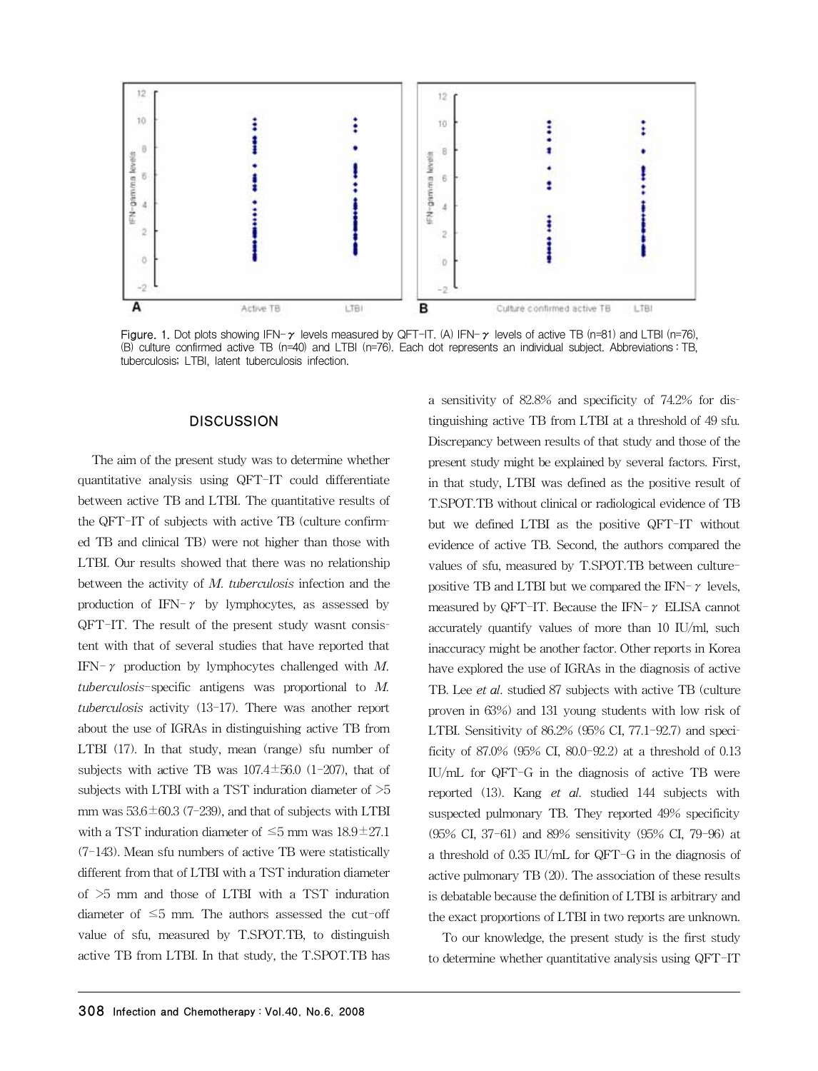

Figure. 1. Dot plots showing IFN- $\gamma$  levels measured by QFT-IT. (A) IFN- $\gamma$  levels of active TB (n=81) and LTBI (n=76), (B) culture confirmed active TB (n=40) and LTBI (n=76). Each dot represents an individual subject. Abbreviations : TB, tuberculosis; LTBI, latent tuberculosis infection.

# **DISCUSSION**

The aim of the present study was to determine whether quantitative analysis using QFT-IT could differentiate between active TB and LTBI. The quantitative results of the QFT-IT of subjects with active TB (culture confirmed TB and clinical TB) were not higher than those with LTBI. Our results showed that there was no relationship between the activity of *M. tuberculosis* infection and the production of IFN- $\gamma$  by lymphocytes, as assessed by QFT-IT. The result of the present study wasnt consistent with that of several studies that have reported that IFN-γ production by lymphocytes challenged with *M. tuberculosis*-specific antigens was proportional to *M. tuberculosis* activity (13-17). There was another report about the use of IGRAs in distinguishing active TB from LTBI (17). In that study, mean (range) sfu number of subjects with active TB was  $107.4 \pm 56.0$  (1-207), that of subjects with LTBI with a TST induration diameter of  $>5$ mm was  $53.6 \pm 60.3$  (7-239), and that of subjects with LTBI with a TST induration diameter of  $\leq$ 5 mm was  $18.9 \pm 27.1$ (7-143). Mean sfu numbers of active TB were statistically different from that of LTBI with a TST induration diameter of >5 mm and those of LTBI with a TST induration diameter of  $\leq 5$  mm. The authors assessed the cut-off value of sfu, measured by T.SPOT.TB, to distinguish active TB from LTBI. In that study, the T.SPOT.TB has

a sensitivity of 82.8% and specificity of 74.2% for distinguishing active TB from LTBI at a threshold of 49 sfu. Discrepancy between results of that study and those of the present study might be explained by several factors. First, in that study, LTBI was defined as the positive result of T.SPOT.TB without clinical or radiological evidence of TB but we defined LTBI as the positive QFT-IT without evidence of active TB. Second, the authors compared the values of sfu, measured by T.SPOT.TB between culturepositive TB and LTBI but we compared the IFN- $\gamma$  levels, measured by QFT-IT. Because the IFN- $\gamma$  ELISA cannot accurately quantify values of more than 10 IU/ml, such inaccuracy might be another factor. Other reports in Korea have explored the use of IGRAs in the diagnosis of active TB. Lee *et al*. studied 87 subjects with active TB (culture proven in 63%) and 131 young students with low risk of LTBI. Sensitivity of 86.2% (95% CI, 77.1-92.7) and specificity of 87.0% (95% CI, 80.0-92.2) at a threshold of 0.13 IU/mL for QFT-G in the diagnosis of active TB were reported (13). Kang *et al*. studied 144 subjects with suspected pulmonary TB. They reported 49% specificity (95% CI, 37-61) and 89% sensitivity (95% CI, 79-96) at a threshold of 0.35 IU/mL for QFT-G in the diagnosis of active pulmonary TB (20). The association of these results is debatable because the definition of LTBI is arbitrary and the exact proportions of LTBI in two reports are unknown.

To our knowledge, the present study is the first study to determine whether quantitative analysis using QFT-IT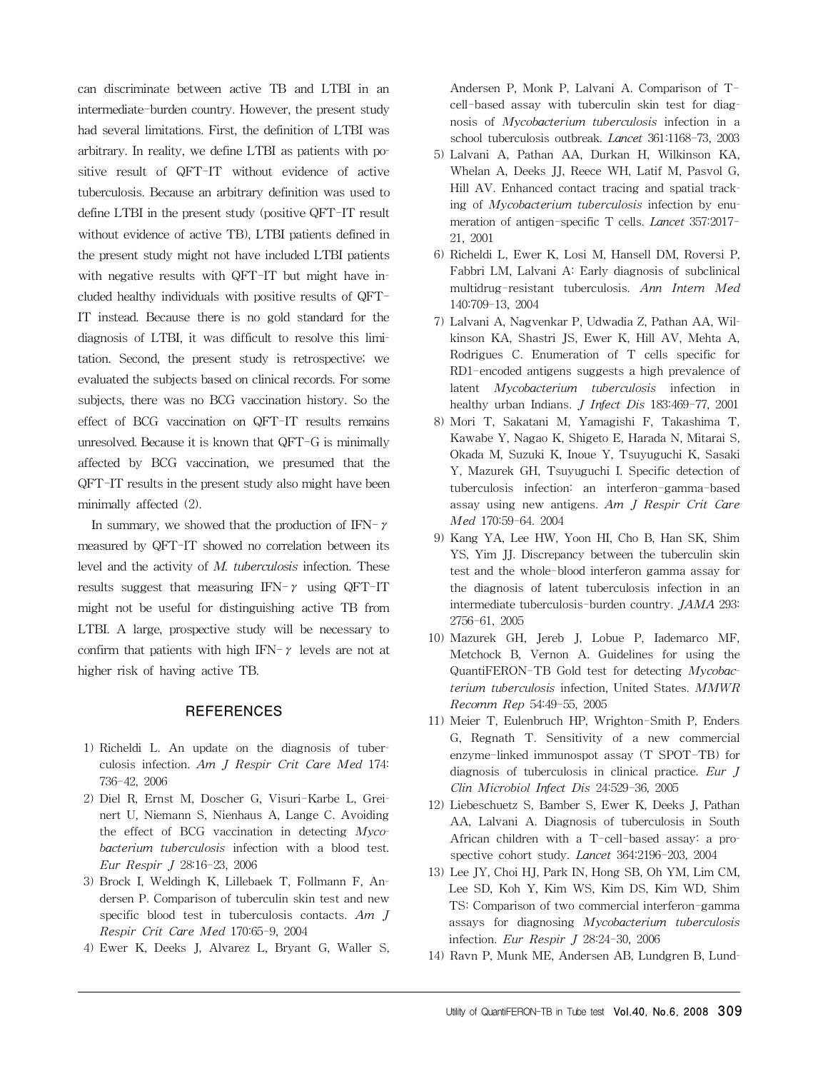can discriminate between active TB and LTBI in an intermediate-burden country. However, the present study had several limitations. First, the definition of LTBI was arbitrary. In reality, we define LTBI as patients with positive result of QFT-IT without evidence of active tuberculosis. Because an arbitrary definition was used to define LTBI in the present study (positive QFT-IT result without evidence of active TB), LTBI patients defined in the present study might not have included LTBI patients with negative results with QFT-IT but might have included healthy individuals with positive results of QFT-IT instead. Because there is no gold standard for the diagnosis of LTBI, it was difficult to resolve this limitation. Second, the present study is retrospective; we evaluated the subjects based on clinical records. For some subjects, there was no BCG vaccination history. So the effect of BCG vaccination on QFT-IT results remains unresolved. Because it is known that QFT-G is minimally affected by BCG vaccination, we presumed that the QFT-IT results in the present study also might have been minimally affected (2).

In summary, we showed that the production of IFN- $\gamma$ measured by QFT-IT showed no correlation between its level and the activity of *M. tuberculosis* infection. These results suggest that measuring IFN- $\gamma$  using QFT-IT might not be useful for distinguishing active TB from LTBI. A large, prospective study will be necessary to confirm that patients with high IFN- $\gamma$  levels are not at higher risk of having active TB.

# **REFERENCES**

- 1) Richeldi L. An update on the diagnosis of tuberculosis infection. *Am J Respir Crit Care Med* 174: 736-42, 2006
- 2) Diel R, Ernst M, Doscher G, Visuri-Karbe L, Greinert U, Niemann S, Nienhaus A, Lange C. Avoiding the effect of BCG vaccination in detecting *Mycobacterium tuberculosis* infection with a blood test. *Eur Respir J* 28:16-23, 2006
- 3) Brock I, Weldingh K, Lillebaek T, Follmann F, Andersen P. Comparison of tuberculin skin test and new specific blood test in tuberculosis contacts. *Am J Respir Crit Care Med* 170:65-9, 2004
- 4) Ewer K, Deeks J, Alvarez L, Bryant G, Waller S,

Andersen P, Monk P, Lalvani A. Comparison of Tcell-based assay with tuberculin skin test for diagnosis of *Mycobacterium tuberculosis* infection in a school tuberculosis outbreak. *Lancet* 361:1168-73, 2003

- 5) Lalvani A, Pathan AA, Durkan H, Wilkinson KA, Whelan A, Deeks JJ, Reece WH, Latif M, Pasvol G, Hill AV. Enhanced contact tracing and spatial tracking of *Mycobacterium tuberculosis* infection by enumeration of antigen-specific T cells. *Lancet* 357:2017- 21, 2001
- 6) Richeldi L, Ewer K, Losi M, Hansell DM, Roversi P, Fabbri LM, Lalvani A: Early diagnosis of subclinical multidrug-resistant tuberculosis. *Ann Intern Med* 140:709-13, 2004
- 7) Lalvani A, Nagvenkar P, Udwadia Z, Pathan AA, Wilkinson KA, Shastri JS, Ewer K, Hill AV, Mehta A, Rodrigues C. Enumeration of T cells specific for RD1-encoded antigens suggests a high prevalence of latent *Mycobacterium tuberculosis* infection in healthy urban Indians. *J Infect Dis* 183:469-77, 2001
- 8) Mori T, Sakatani M, Yamagishi F, Takashima T, Kawabe Y, Nagao K, Shigeto E, Harada N, Mitarai S, Okada M, Suzuki K, Inoue Y, Tsuyuguchi K, Sasaki Y, Mazurek GH, Tsuyuguchi I. Specific detection of tuberculosis infection: an interferon-gamma-based assay using new antigens. *Am J Respir Crit Care Med* 170:59-64. 2004
- 9) Kang YA, Lee HW, Yoon HI, Cho B, Han SK, Shim YS, Yim JJ. Discrepancy between the tuberculin skin test and the whole-blood interferon gamma assay for the diagnosis of latent tuberculosis infection in an intermediate tuberculosis-burden country. *JAMA* 293: 2756-61, 2005
- 10) Mazurek GH, Jereb J, Lobue P, Iademarco MF, Metchock B, Vernon A. Guidelines for using the QuantiFERON-TB Gold test for detecting *Mycobacterium tuberculosis* infection, United States. *MMWR Recomm Rep* 54:49-55, 2005
- 11) Meier T, Eulenbruch HP, Wrighton-Smith P, Enders G, Regnath T. Sensitivity of a new commercial enzyme-linked immunospot assay (T SPOT-TB) for diagnosis of tuberculosis in clinical practice. *Eur J Clin Microbiol Infect Dis* 24:529-36, 2005
- 12) Liebeschuetz S, Bamber S, Ewer K, Deeks J, Pathan AA, Lalvani A. Diagnosis of tuberculosis in South African children with a T-cell-based assay: a prospective cohort study. *Lancet* 364:2196-203, 2004
- 13) Lee JY, Choi HJ, Park IN, Hong SB, Oh YM, Lim CM, Lee SD, Koh Y, Kim WS, Kim DS, Kim WD, Shim TS: Comparison of two commercial interferon-gamma assays for diagnosing *Mycobacterium tuberculosis* infection. *Eur Respir J* 28:24-30, 2006
- 14) Ravn P, Munk ME, Andersen AB, Lundgren B, Lund-